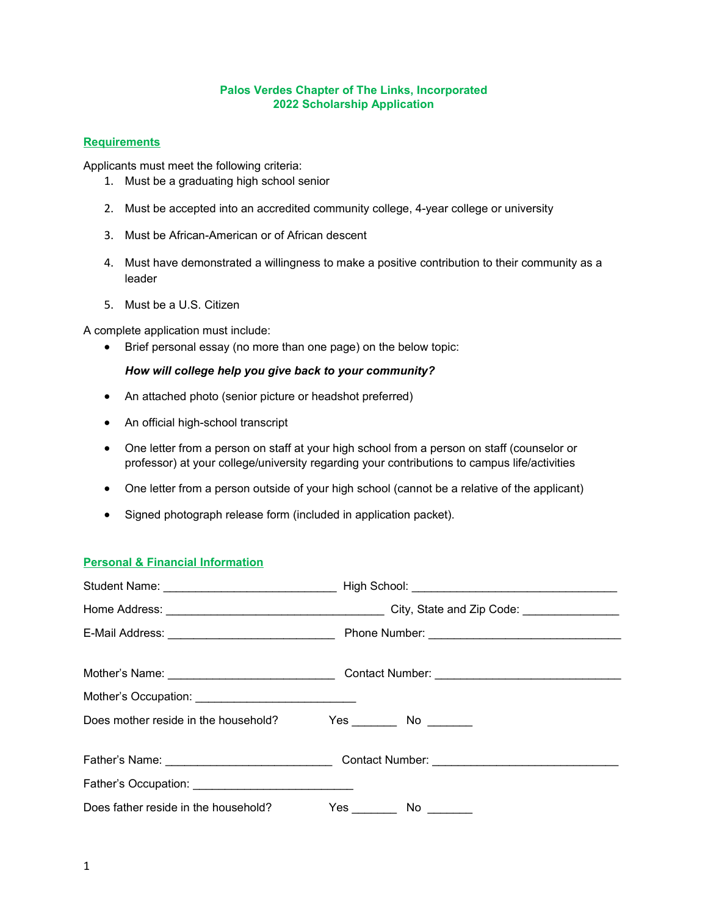#### **Palos Verdes Chapter of The Links, Incorporated 2022 Scholarship Application**

### **Requirements**

Applicants must meet the following criteria:

- 1. Must be a graduating high school senior
- 2. Must be accepted into an accredited community college, 4-year college or university
- 3. Must be African-American or of African descent
- 4. Must have demonstrated a willingness to make a positive contribution to their community as a leader
- 5. Must be a U.S. Citizen

A complete application must include:

Brief personal essay (no more than one page) on the below topic:

## *How will college help you give back to your community?*

- An attached photo (senior picture or headshot preferred)
- An official high-school transcript
- One letter from a person on staff at your high school from a person on staff (counselor or professor) at your college/university regarding your contributions to campus life/activities
- One letter from a person outside of your high school (cannot be a relative of the applicant)
- Signed photograph release form (included in application packet).

### **Personal & Financial Information**

| E-Mail Address: _________________________________  |                                                                                                      |  |  |
|----------------------------------------------------|------------------------------------------------------------------------------------------------------|--|--|
|                                                    | Mother's Name: ___________________________________Contact Number: __________________________________ |  |  |
| Mother's Occupation: Mother's Occupation:          |                                                                                                      |  |  |
| Does mother reside in the household?               |                                                                                                      |  |  |
|                                                    |                                                                                                      |  |  |
| Father's Occupation: _____________________________ |                                                                                                      |  |  |
| Does father reside in the household?               |                                                                                                      |  |  |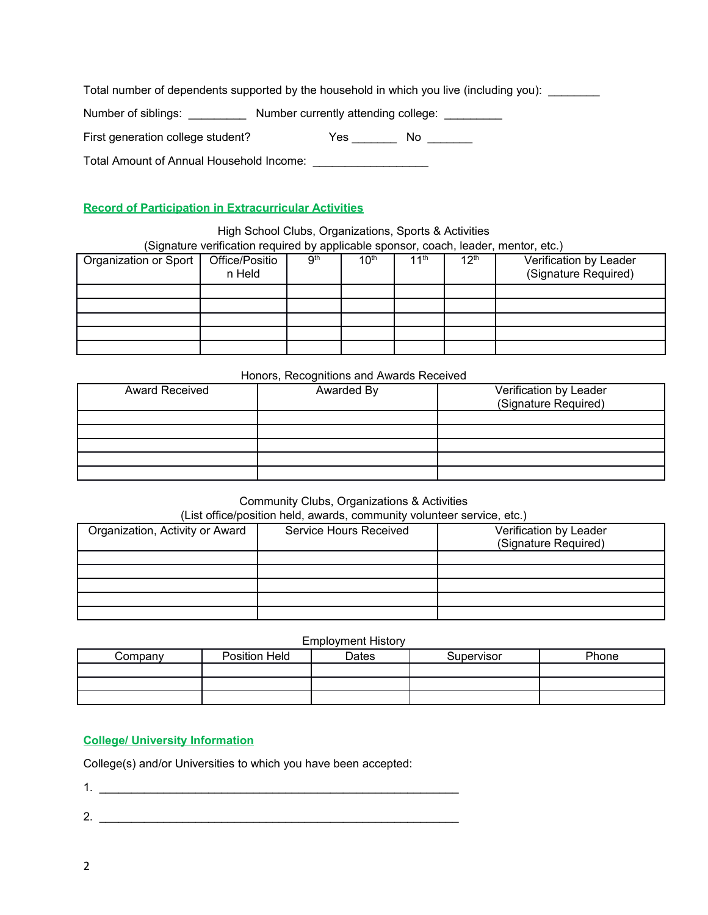Total number of dependents supported by the household in which you live (including you): \_\_\_\_\_\_\_\_

Number of siblings: \_\_\_\_\_\_\_\_\_\_\_ Number currently attending college: \_\_\_\_\_\_\_\_\_\_

| First generation college student? | Yes | No |  |
|-----------------------------------|-----|----|--|
|                                   |     |    |  |

Total Amount of Annual Household Income: \_\_\_\_\_\_\_\_\_\_\_\_\_\_\_\_\_\_

# **Record of Participation in Extracurricular Activities**

High School Clubs, Organizations, Sports & Activities (Signature verification required by applicable sponsor, coach, leader, mentor, etc.)

| - - - - - - - - - - -<br>Organization or Sport | Office/Positio<br>n Held | -- r r<br>9 <sup>th</sup> | 10 <sup>th</sup> | 11 <sup>th</sup> | $12^{\text{th}}$ | Verification by Leader<br>(Signature Required) |
|------------------------------------------------|--------------------------|---------------------------|------------------|------------------|------------------|------------------------------------------------|
|                                                |                          |                           |                  |                  |                  |                                                |
|                                                |                          |                           |                  |                  |                  |                                                |
|                                                |                          |                           |                  |                  |                  |                                                |
|                                                |                          |                           |                  |                  |                  |                                                |
|                                                |                          |                           |                  |                  |                  |                                                |

#### Honors, Recognitions and Awards Received

| <b>Award Received</b> | Awarded By | Verification by Leader<br>(Signature Required) |  |  |  |
|-----------------------|------------|------------------------------------------------|--|--|--|
|                       |            |                                                |  |  |  |
|                       |            |                                                |  |  |  |
|                       |            |                                                |  |  |  |
|                       |            |                                                |  |  |  |
|                       |            |                                                |  |  |  |

### Community Clubs, Organizations & Activities

(List office/position held, awards, community volunteer service, etc.)

| Organization, Activity or Award | Service Hours Received | Verification by Leader<br>(Signature Required) |
|---------------------------------|------------------------|------------------------------------------------|
|                                 |                        |                                                |
|                                 |                        |                                                |
|                                 |                        |                                                |
|                                 |                        |                                                |
|                                 |                        |                                                |

#### Employment History

| Company | Position Held | Dates | Supervisor | Phone |
|---------|---------------|-------|------------|-------|
|         |               |       |            |       |
|         |               |       |            |       |
|         |               |       |            |       |

# **College/ University Information**

College(s) and/or Universities to which you have been accepted:

- 1.
- 2. \_\_\_\_\_\_\_\_\_\_\_\_\_\_\_\_\_\_\_\_\_\_\_\_\_\_\_\_\_\_\_\_\_\_\_\_\_\_\_\_\_\_\_\_\_\_\_\_\_\_\_\_\_\_\_\_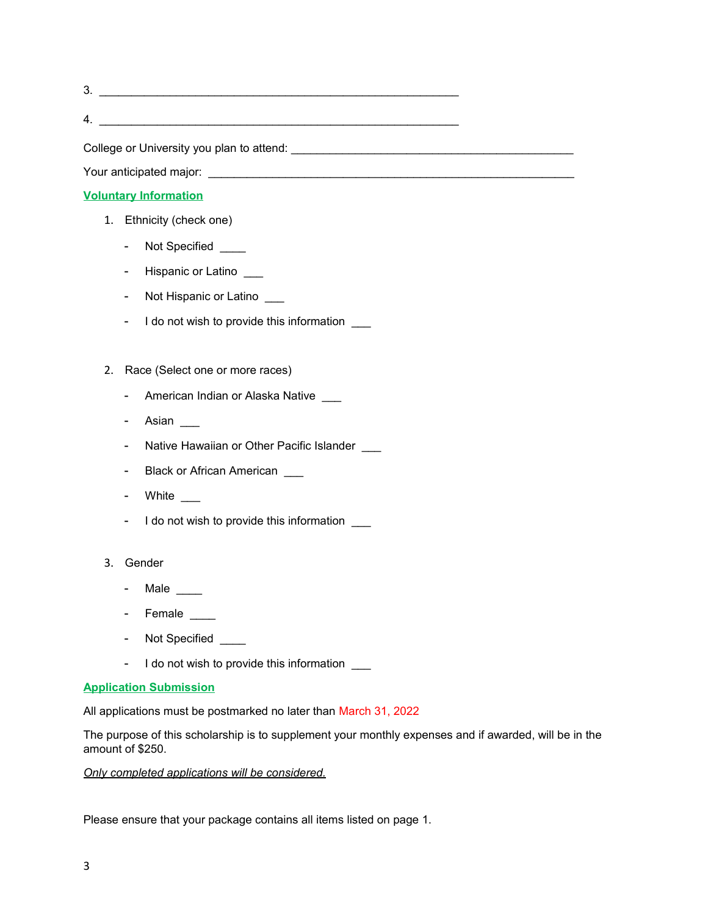3. \_\_\_\_\_\_\_\_\_\_\_\_\_\_\_\_\_\_\_\_\_\_\_\_\_\_\_\_\_\_\_\_\_\_\_\_\_\_\_\_\_\_\_\_\_\_\_\_\_\_\_\_\_\_\_\_  $4.$ 

College or University you plan to attend: \_\_\_\_\_\_\_\_\_\_\_\_\_\_\_\_\_\_\_\_\_\_\_\_\_\_\_\_\_\_\_\_\_\_\_\_\_\_\_\_\_\_\_\_

Your anticipated major: \_\_\_\_\_\_\_\_\_\_\_\_\_\_\_\_\_\_\_\_\_\_\_\_\_\_\_\_\_\_\_\_\_\_\_\_\_\_\_\_\_\_\_\_\_\_\_\_\_\_\_\_\_\_\_\_\_

## **Voluntary Information**

- 1. Ethnicity (check one)
	- Not Specified \_\_\_\_
	- Hispanic or Latino \_\_\_
	- Not Hispanic or Latino \_\_\_
	- I do not wish to provide this information \_\_\_
- 2. Race (Select one or more races)
	- American Indian or Alaska Native
	- Asian
	- Native Hawaiian or Other Pacific Islander
	- Black or African American \_\_\_
	- White
	- I do not wish to provide this information \_\_\_
- 3. Gender
	- Male \_\_\_\_
	- Female \_\_\_\_
	- Not Specified \_\_\_\_
	- I do not wish to provide this information \_\_\_

#### **Application Submission**

All applications must be postmarked no later than March 31, 2022

The purpose of this scholarship is to supplement your monthly expenses and if awarded, will be in the amount of \$250.

*Only completed applications will be considered.*

Please ensure that your package contains all items listed on page 1.